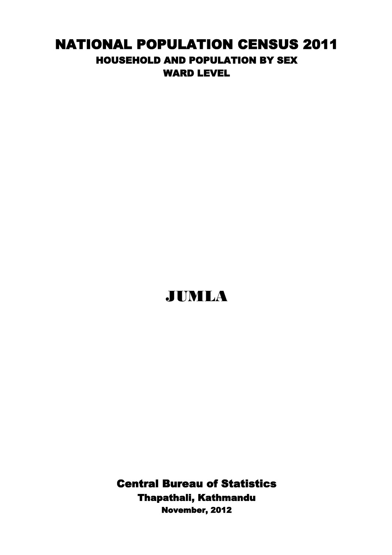## NATIONAL POPULATION CENSUS 2011 HOUSEHOLD AND POPULATION BY SEX WARD LEVEL

## JUMLA

Thapathali, Kathmandu Central Bureau of Statistics November, 2012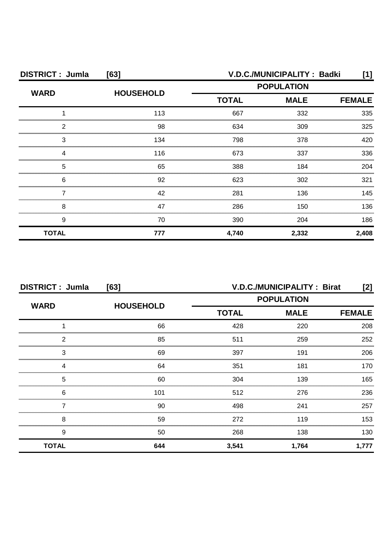| <b>DISTRICT: Jumla</b> | [63]             | V.D.C./MUNICIPALITY: Badki |                              |       |  |
|------------------------|------------------|----------------------------|------------------------------|-------|--|
| <b>WARD</b>            | <b>HOUSEHOLD</b> | <b>POPULATION</b>          |                              |       |  |
|                        |                  | <b>TOTAL</b>               | <b>MALE</b><br><b>FEMALE</b> |       |  |
|                        | 113              | 667                        | 332                          | 335   |  |
| 2                      | 98               | 634                        | 309                          | 325   |  |
| З                      | 134              | 798                        | 378                          | 420   |  |
|                        | 116              | 673                        | 337                          | 336   |  |
| 5                      | 65               | 388                        | 184                          | 204   |  |
| 6                      | 92               | 623                        | 302                          | 321   |  |
|                        | 42               | 281                        | 136                          | 145   |  |
| 8                      | 47               | 286                        | 150                          | 136   |  |
| 9                      | 70               | 390                        | 204                          | 186   |  |
| <b>TOTAL</b>           | 777              | 4,740                      | 2,332                        | 2,408 |  |

| <b>DISTRICT: Jumla</b><br>[63] |                  | <b>V.D.C./MUNICIPALITY: Birat</b><br>[2] |             |               |
|--------------------------------|------------------|------------------------------------------|-------------|---------------|
| <b>WARD</b>                    | <b>HOUSEHOLD</b> | <b>POPULATION</b>                        |             |               |
|                                |                  | <b>TOTAL</b>                             | <b>MALE</b> | <b>FEMALE</b> |
|                                | 66               | 428                                      | 220         | 208           |
| 2                              | 85               | 511                                      | 259         | 252           |
| 3                              | 69               | 397                                      | 191         | 206           |
|                                | 64               | 351                                      | 181         | 170           |
| 5                              | 60               | 304                                      | 139         | 165           |
| 6                              | 101              | 512                                      | 276         | 236           |
|                                | 90               | 498                                      | 241         | 257           |
| 8                              | 59               | 272                                      | 119         | 153           |
| 9                              | 50               | 268                                      | 138         | 130           |
| <b>TOTAL</b>                   | 644              | 3,541                                    | 1,764       | 1,777         |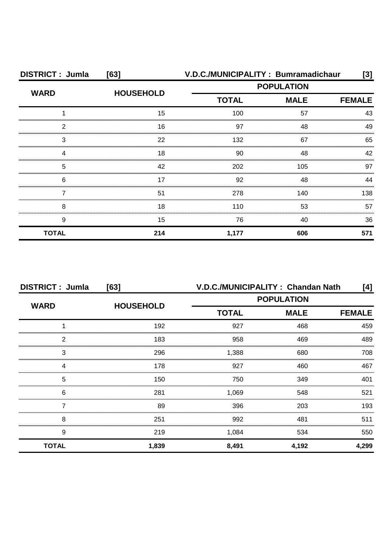| <b>DISTRICT: Jumla</b> | [63]             | V.D.C./MUNICIPALITY: Bumramadichaur |             | [3]           |
|------------------------|------------------|-------------------------------------|-------------|---------------|
| <b>WARD</b>            | <b>HOUSEHOLD</b> | <b>POPULATION</b>                   |             |               |
|                        |                  | <b>TOTAL</b>                        | <b>MALE</b> | <b>FEMALE</b> |
|                        | 15               | 100                                 | 57          | 43            |
| 2                      | 16               | 97                                  | 48          | 49            |
| 3                      | 22               | 132                                 | 67          | 65            |
|                        | 18               | 90                                  | 48          | 42            |
| 5                      | 42               | 202                                 | 105         | 97            |
| 6                      | 17               | 92                                  | 48          | 44            |
|                        | 51               | 278                                 | 140         | 138           |
| 8                      | 18               | 110                                 | 53          | 57            |
| 9                      | 15               | 76                                  | 40          | 36            |
| <b>TOTAL</b>           | 214              | 1,177                               | 606         | 571           |

| <b>DISTRICT: Jumla</b> | [63]             | V.D.C./MUNICIPALITY: Chandan Nath<br>[4] |             |               |  |
|------------------------|------------------|------------------------------------------|-------------|---------------|--|
| <b>WARD</b>            | <b>HOUSEHOLD</b> | <b>POPULATION</b>                        |             |               |  |
|                        |                  | <b>TOTAL</b>                             | <b>MALE</b> | <b>FEMALE</b> |  |
|                        | 192              | 927                                      | 468         | 459           |  |
| っ                      | 183              | 958                                      | 469         | 489           |  |
| 3                      | 296              | 1,388                                    | 680         | 708           |  |
|                        | 178              | 927                                      | 460         | 467           |  |
| 5                      | 150              | 750                                      | 349         | 401           |  |
| 6                      | 281              | 1,069                                    | 548         | 521           |  |
|                        | 89               | 396                                      | 203         | 193           |  |
| 8                      | 251              | 992                                      | 481         | 511           |  |
| 9                      | 219              | 1,084                                    | 534         | 550           |  |
| <b>TOTAL</b>           | 1,839            | 8,491                                    | 4,192       | 4,299         |  |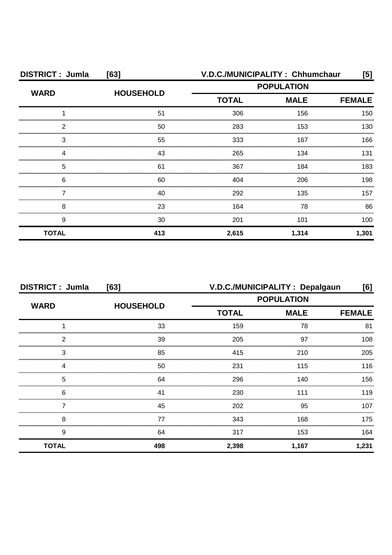| <b>DISTRICT: Jumla</b> | [63]             | V.D.C./MUNICIPALITY: Chhumchaur<br>[5]       |       |       |
|------------------------|------------------|----------------------------------------------|-------|-------|
| <b>WARD</b>            | <b>HOUSEHOLD</b> | <b>POPULATION</b>                            |       |       |
|                        |                  | <b>TOTAL</b><br><b>MALE</b><br><b>FEMALE</b> |       |       |
|                        | 51               | 306                                          | 156   | 150   |
| 2                      | 50               | 283                                          | 153   | 130   |
| 3                      | 55               | 333                                          | 167   | 166   |
|                        | 43               | 265                                          | 134   | 131   |
| 5                      | 61               | 367                                          | 184   | 183   |
| 6                      | 60               | 404                                          | 206   | 198   |
|                        | 40               | 292                                          | 135   | 157   |
| 8                      | 23               | 164                                          | 78    | 86    |
| 9                      | 30               | 201                                          | 101   | 100   |
| <b>TOTAL</b>           | 413              | 2,615                                        | 1,314 | 1,301 |

| <b>DISTRICT: Jumla</b><br>[63] |                  | V.D.C./MUNICIPALITY: Depalgaun<br>[6] |             |               |
|--------------------------------|------------------|---------------------------------------|-------------|---------------|
|                                |                  | <b>POPULATION</b>                     |             |               |
| <b>WARD</b>                    | <b>HOUSEHOLD</b> | <b>TOTAL</b>                          | <b>MALE</b> | <b>FEMALE</b> |
|                                | 33               | 159                                   | 78          | 81            |
| 2                              | 39               | 205                                   | 97          | 108           |
| 3                              | 85               | 415                                   | 210         | 205           |
|                                | 50               | 231                                   | 115         | 116           |
| 5                              | 64               | 296                                   | 140         | 156           |
| 6                              | 41               | 230                                   | 111         | 119           |
|                                | 45               | 202                                   | 95          | 107           |
| 8                              | 77               | 343                                   | 168         | 175           |
| 9                              | 64               | 317                                   | 153         | 164           |
| <b>TOTAL</b>                   | 498              | 2,398                                 | 1,167       | 1,231         |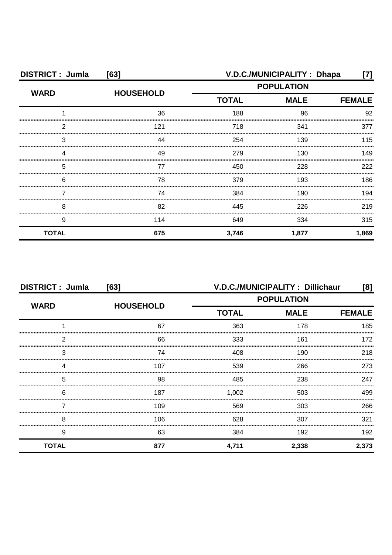| <b>DISTRICT: Jumla</b><br>[63] |                  |                                              | V.D.C./MUNICIPALITY: Dhapa | [7]   |  |
|--------------------------------|------------------|----------------------------------------------|----------------------------|-------|--|
| <b>WARD</b>                    | <b>HOUSEHOLD</b> | <b>POPULATION</b>                            |                            |       |  |
|                                |                  | <b>TOTAL</b><br><b>MALE</b><br><b>FEMALE</b> |                            |       |  |
|                                | 36               | 188                                          | 96                         | 92    |  |
| 2                              | 121              | 718                                          | 341                        | 377   |  |
| 3                              | 44               | 254                                          | 139                        | 115   |  |
|                                | 49               | 279                                          | 130                        | 149   |  |
| 5                              | 77               | 450                                          | 228                        | 222   |  |
| 6                              | 78               | 379                                          | 193                        | 186   |  |
|                                | 74               | 384                                          | 190                        | 194   |  |
| 8                              | 82               | 445                                          | 226                        | 219   |  |
| 9                              | 114              | 649                                          | 334                        | 315   |  |
| <b>TOTAL</b>                   | 675              | 3,746                                        | 1,877                      | 1,869 |  |

| <b>DISTRICT: Jumla</b><br>[63] |                  | <b>V.D.C./MUNICIPALITY: Dillichaur</b><br>[8] |             |               |
|--------------------------------|------------------|-----------------------------------------------|-------------|---------------|
| <b>WARD</b>                    |                  | <b>POPULATION</b>                             |             |               |
|                                | <b>HOUSEHOLD</b> | <b>TOTAL</b>                                  | <b>MALE</b> | <b>FEMALE</b> |
|                                | 67               | 363                                           | 178         | 185           |
| 2                              | 66               | 333                                           | 161         | 172           |
| 3                              | 74               | 408                                           | 190         | 218           |
|                                | 107              | 539                                           | 266         | 273           |
| 5                              | 98               | 485                                           | 238         | 247           |
| 6                              | 187              | 1,002                                         | 503         | 499.          |
|                                | 109              | 569                                           | 303         | 266           |
| 8                              | 106              | 628                                           | 307         | 321           |
| 9                              | 63               | 384                                           | 192         | 192           |
| <b>TOTAL</b>                   | 877              | 4.711                                         | 2,338       | 2,373         |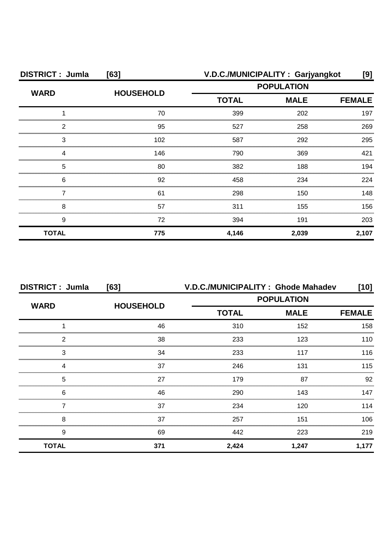| <b>DISTRICT: Jumla</b> | [63]             | V.D.C./MUNICIPALITY: Garjyangkot<br>[9] |             |       |
|------------------------|------------------|-----------------------------------------|-------------|-------|
| <b>WARD</b>            | <b>HOUSEHOLD</b> | <b>POPULATION</b>                       |             |       |
|                        |                  | <b>TOTAL</b>                            | <b>MALE</b> |       |
|                        | 70               | 399                                     | 202         | 197   |
| 2                      | 95               | 527                                     | 258         | 269   |
| 3                      | 102              | 587                                     | 292         | 295   |
|                        | 146              | 790                                     | 369         | 421   |
| 5                      | 80               | 382                                     | 188         | 194   |
| 6                      | 92               | 458                                     | 234         | 224   |
|                        | 61               | 298                                     | 150         | 148   |
| 8                      | 57               | 311                                     | 155         | 156   |
| 9                      | 72               | 394                                     | 191         | 203   |
| <b>TOTAL</b>           | 775              | 4,146                                   | 2,039       | 2,107 |

| <b>DISTRICT: Jumla</b> | [63]             | V.D.C./MUNICIPALITY: Ghode Mahadev |                   | $[10]$        |
|------------------------|------------------|------------------------------------|-------------------|---------------|
| <b>WARD</b>            | <b>HOUSEHOLD</b> |                                    | <b>POPULATION</b> |               |
|                        |                  | <b>TOTAL</b>                       | <b>MALE</b>       | <b>FEMALE</b> |
|                        | 46               | 310                                | 152               | 158           |
| 2                      | 38               | 233                                | 123               | 110           |
| 3                      | 34               | 233                                | 117               | 116           |
| 4                      | 37               | 246                                | 131               | 115           |
| 5                      | 27               | 179                                | 87                | 92            |
| 6                      | 46               | 290                                | 143               | 147           |
|                        | 37               | 234                                | 120               | 114           |
| 8                      | 37               | 257                                | 151               | 106           |
| 9                      | 69               | 442                                | 223               | 219           |
| <b>TOTAL</b>           | 371              | 2,424                              | 1,247             | 1,177         |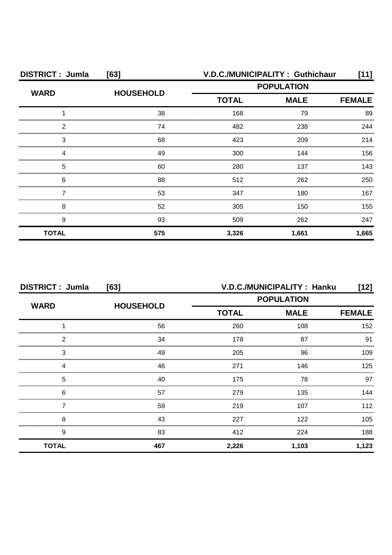| <b>DISTRICT: Jumla</b><br>[63] |                  | V.D.C./MUNICIPALITY: Guthichaur |             | [11]          |
|--------------------------------|------------------|---------------------------------|-------------|---------------|
| <b>WARD</b>                    | <b>HOUSEHOLD</b> | <b>POPULATION</b>               |             |               |
|                                |                  | <b>TOTAL</b>                    | <b>MALE</b> | <b>FEMALE</b> |
|                                | 38               | 168                             | 79          | 89            |
| 2                              | 74               | 482                             | 238         | 244           |
| З                              | 68               | 423                             | 209         | 214           |
|                                | 49               | 300                             | 144         | 156           |
| 5                              | 60               | 280                             | 137         | 143           |
| 6                              | 88               | 512                             | 262         | 250           |
|                                | 53               | 347                             | 180         | 167           |
| 8                              | 52               | 305                             | 150         | 155           |
| 9                              | 93               | 509                             | 262         | 247           |
| <b>TOTAL</b>                   | 575              | 3,326                           | 1,661       | 1,665         |

| <b>DISTRICT: Jumla</b><br>[63] |                  | V.D.C./MUNICIPALITY: Hanku<br>[12] |             |               |
|--------------------------------|------------------|------------------------------------|-------------|---------------|
|                                |                  | <b>POPULATION</b>                  |             |               |
| <b>WARD</b>                    | <b>HOUSEHOLD</b> | <b>TOTAL</b>                       | <b>MALE</b> | <b>FEMALE</b> |
|                                | 56               | 260                                | 108         | 152           |
| 2                              | 34               | 178                                | 87          | 91            |
| 3                              | 49               | 205                                | 96          | 109           |
| Δ                              | 46               | 271                                | 146         | 125           |
| 5                              | 40               | 175                                | 78          | 97            |
| 6                              | 57               | 279                                | 135         | 144           |
|                                | 59               | 219                                | 107         | 112           |
| 8                              | 43               | 227                                | 122         | 105           |
| 9                              | 83               | 412                                | 224         | 188           |
| <b>TOTAL</b>                   | 467              | 2,226                              | 1,103       | 1,123         |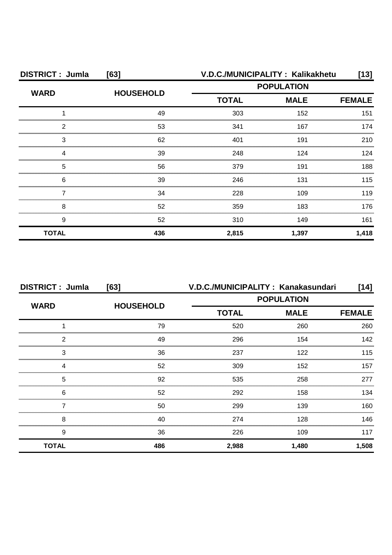| <b>DISTRICT: Jumla</b><br>[63] |                  | V.D.C./MUNICIPALITY: Kalikakhetu |             | $[13]$        |
|--------------------------------|------------------|----------------------------------|-------------|---------------|
| <b>WARD</b>                    | <b>HOUSEHOLD</b> | <b>POPULATION</b>                |             |               |
|                                |                  | <b>TOTAL</b>                     | <b>MALE</b> | <b>FEMALE</b> |
|                                | 49               | 303                              | 152         | 151           |
| 2                              | 53               | 341                              | 167         | 174           |
| 3                              | 62               | 401                              | 191         | 210           |
| Δ                              | 39               | 248                              | 124         | 124           |
| 5                              | 56               | 379                              | 191         | 188           |
| 6                              | 39               | 246                              | 131         | 115           |
|                                | 34               | 228                              | 109         | 119           |
| 8                              | 52               | 359                              | 183         | 176           |
| 9                              | 52               | 310                              | 149         | 161           |
| <b>TOTAL</b>                   | 436              | 2,815                            | 1,397       | 1,418         |

| <b>DISTRICT: Jumla</b> | [63]             |                   | V.D.C./MUNICIPALITY: Kanakasundari | $[14]$        |
|------------------------|------------------|-------------------|------------------------------------|---------------|
| <b>WARD</b>            |                  | <b>POPULATION</b> |                                    |               |
|                        | <b>HOUSEHOLD</b> | <b>TOTAL</b>      | <b>MALE</b>                        | <b>FEMALE</b> |
|                        | 79               | 520               | 260                                | 260           |
| 2                      | 49               | 296               | 154                                | 142           |
| 3                      | 36               | 237               | 122                                | 115           |
| Δ                      | 52               | 309               | 152                                | 157           |
| 5                      | 92               | 535               | 258                                | 277           |
| 6                      | 52               | 292               | 158                                | 134           |
|                        | 50               | 299               | 139                                | 160           |
| 8                      | 40               | 274               | 128                                | 146           |
| 9                      | 36               | 226               | 109                                | 117           |
| <b>TOTAL</b>           | 486              | 2,988             | 1,480                              | 1,508         |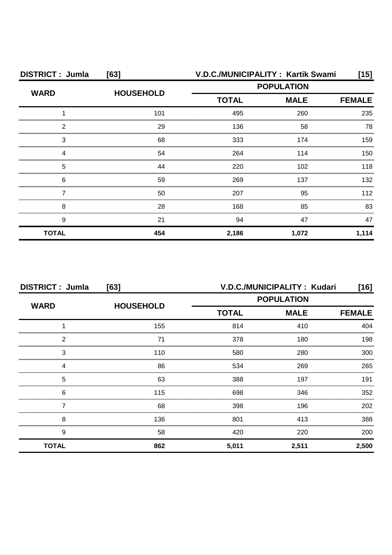| <b>DISTRICT: Jumla</b> | [63]             |              | V.D.C./MUNICIPALITY: Kartik Swami | [15]  |
|------------------------|------------------|--------------|-----------------------------------|-------|
| <b>WARD</b>            | <b>HOUSEHOLD</b> |              | <b>POPULATION</b>                 |       |
|                        |                  | <b>TOTAL</b> | <b>MALE</b>                       |       |
|                        | 101              | 495          | 260                               | 235   |
| 2                      | 29               | 136          | 58                                | 78    |
| 3                      | 68               | 333          | 174                               | 159   |
|                        | 54               | 264          | 114                               | 150   |
| 5                      | 44               | 220          | 102                               | 118   |
| 6                      | 59               | 269          | 137                               | 132   |
|                        | 50               | 207          | 95                                | 112   |
| 8                      | 28               | 168          | 85                                | 83    |
| 9                      | 21               | 94           | 47                                | 47    |
| <b>TOTAL</b>           | 454              | 2,186        | 1,072                             | 1,114 |

| <b>DISTRICT: Jumla</b><br>[63] |                  |                   | V.D.C./MUNICIPALITY: Kudari | [16]          |
|--------------------------------|------------------|-------------------|-----------------------------|---------------|
| <b>WARD</b>                    | <b>HOUSEHOLD</b> | <b>POPULATION</b> |                             |               |
|                                |                  | <b>TOTAL</b>      | <b>MALE</b>                 | <b>FEMALE</b> |
|                                | 155              | 814               | 410                         | 404           |
| 2                              | 71               | 378               | 180                         | 198           |
| 3                              | 110              | 580               | 280                         | 300           |
|                                | 86               | 534               | 269                         | 265           |
| 5                              | 63               | 388               | 197                         | 191           |
| 6                              | 115              | 698               | 346                         | 352           |
|                                | 68               | 398               | 196                         | 202           |
| 8                              | 136              | 801               | 413                         | 388           |
| 9                              | 58               | 420               | 220                         | 200           |
| <b>TOTAL</b>                   | 862              | 5,011             | 2,511                       | 2,500         |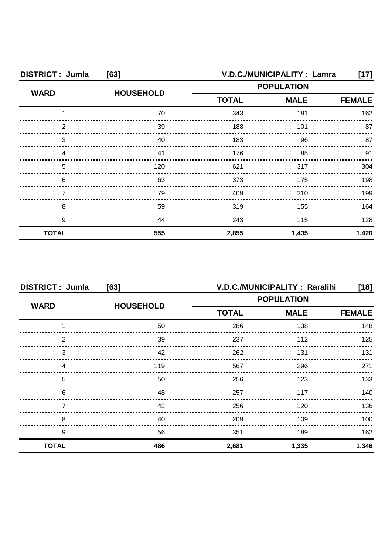| <b>DISTRICT: Jumla</b> | [63]             | V.D.C./MUNICIPALITY : Lamra |             | [17]          |
|------------------------|------------------|-----------------------------|-------------|---------------|
| <b>WARD</b>            | <b>HOUSEHOLD</b> | <b>POPULATION</b>           |             |               |
|                        |                  | <b>TOTAL</b>                | <b>MALE</b> | <b>FEMALE</b> |
|                        | 70               | 343                         | 181         | 162           |
| 2                      | 39               | 188                         | 101         | 87            |
| З                      | 40               | 183                         | 96          | 87            |
|                        | 41               | 176                         | 85          | 91            |
| 5                      | 120              | 621                         | 317         | 304           |
| 6                      | 63               | 373                         | 175         | 198           |
|                        | 79               | 409                         | 210         | 199           |
| 8                      | 59               | 319                         | 155         | 164           |
| 9                      | 44               | 243                         | 115         | 128           |
| <b>TOTAL</b>           | 555              | 2,855                       | 1,435       | 1,420         |

| <b>DISTRICT: Jumla</b><br>[63] |                  | V.D.C./MUNICIPALITY: Raralihi<br>$[18]$ |             |               |
|--------------------------------|------------------|-----------------------------------------|-------------|---------------|
| <b>WARD</b>                    |                  | <b>POPULATION</b>                       |             |               |
|                                | <b>HOUSEHOLD</b> | <b>TOTAL</b>                            | <b>MALE</b> | <b>FEMALE</b> |
|                                | 50               | 286                                     | 138         | 148           |
| 2                              | 39               | 237                                     | 112         | 125           |
| 3                              | 42               | 262                                     | 131         | 131           |
| 4                              | 119              | 567                                     | 296         | 271           |
| 5                              | 50               | 256                                     | 123         | 133           |
| 6                              | 48               | 257                                     | 117         | 140.          |
|                                | 42               | 256                                     | 120         | 136           |
| 8                              | 40               | 209                                     | 109         | 100           |
| 9                              | 56               | 351                                     | 189         | 162           |
| <b>TOTAL</b>                   | 486              | 2,681                                   | 1,335       | 1,346         |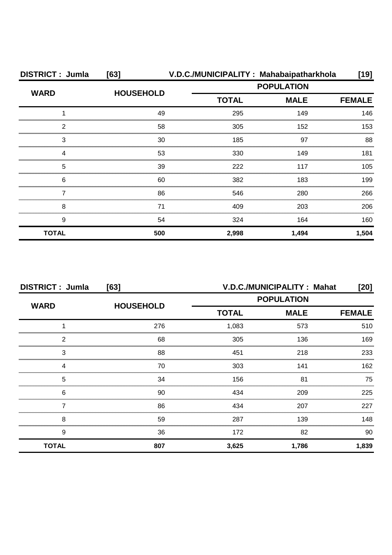| <b>DISTRICT: Jumla</b> | [63]             |              | V.D.C./MUNICIPALITY: Mahabaipatharkhola | [19]          |
|------------------------|------------------|--------------|-----------------------------------------|---------------|
| <b>WARD</b>            | <b>HOUSEHOLD</b> |              | <b>POPULATION</b>                       |               |
|                        |                  | <b>TOTAL</b> | <b>MALE</b>                             | <b>FEMALE</b> |
|                        | 49               | 295          | 149                                     | 146           |
| 2                      | 58               | 305          | 152                                     | 153           |
| 3                      | 30               | 185          | 97                                      | 88            |
| Δ                      | 53               | 330          | 149                                     | 181           |
| 5                      | 39               | 222          | 117                                     | 105           |
| 6                      | 60               | 382          | 183                                     | 199           |
|                        | 86               | 546          | 280                                     | 266           |
| 8                      | 71               | 409          | 203                                     | 206           |
| 9                      | 54               | 324          | 164                                     | 160           |
| <b>TOTAL</b>           | 500              | 2,998        | 1,494                                   | 1,504         |

| <b>DISTRICT: Jumla</b><br>[63] |                  |                   | V.D.C./MUNICIPALITY: Mahat   | [20]  |
|--------------------------------|------------------|-------------------|------------------------------|-------|
| <b>WARD</b>                    | <b>HOUSEHOLD</b> | <b>POPULATION</b> |                              |       |
|                                |                  | <b>TOTAL</b>      | <b>MALE</b><br><b>FEMALE</b> |       |
|                                | 276              | 1,083             | 573                          | 510   |
| 2                              | 68               | 305               | 136                          | 169   |
| 3                              | 88               | 451               | 218                          | 233   |
|                                | 70               | 303               | 141                          | 162   |
| 5                              | 34               | 156               | 81                           | 75    |
| 6                              | 90               | 434               | 209                          | 225   |
|                                | 86               | 434               | 207                          | 227   |
| 8                              | 59               | 287               | 139                          | 148   |
| 9                              | 36               | 172               | 82                           | 90    |
| <b>TOTAL</b>                   | 807              | 3,625             | 1,786                        | 1,839 |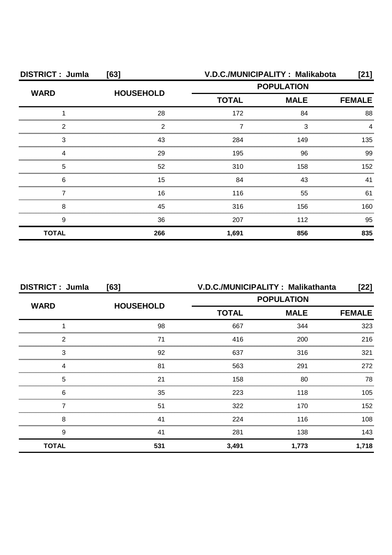| <b>DISTRICT: Jumla</b> | [63]             |                   | V.D.C./MUNICIPALITY: Malikabota | [21]          |
|------------------------|------------------|-------------------|---------------------------------|---------------|
| <b>WARD</b>            |                  | <b>POPULATION</b> |                                 |               |
|                        | <b>HOUSEHOLD</b> | <b>TOTAL</b>      | <b>MALE</b>                     | <b>FEMALE</b> |
|                        | 28               | 172               | 84                              | 88            |
| 2                      | ⌒                |                   | 3                               |               |
| 3                      | 43               | 284               | 149                             | 135           |
|                        | 29               | 195               | 96                              | 99            |
| 5                      | 52               | 310               | 158                             | 152           |
| 6                      | 15               | 84                | 43                              | 41            |
|                        | 16               | 116               | 55                              | 61            |
| 8                      | 45               | 316               | 156                             | 160.          |
| 9                      | 36               | 207               | 112                             | 95            |
| <b>TOTAL</b>           | 266              | 1,691             | 856                             | 835           |

| <b>DISTRICT: Jumla</b> | [63]             | V.D.C./MUNICIPALITY: Malikathanta |             | $[22]$            |  |
|------------------------|------------------|-----------------------------------|-------------|-------------------|--|
| <b>WARD</b>            |                  |                                   |             | <b>POPULATION</b> |  |
|                        | <b>HOUSEHOLD</b> | <b>TOTAL</b>                      | <b>MALE</b> | <b>FEMALE</b>     |  |
|                        | 98               | 667                               | 344         | 323               |  |
| 2                      | 71               | 416                               | 200         | 216               |  |
| 3                      | 92               | 637                               | 316         | 321               |  |
|                        | 81               | 563                               | 291         | 272               |  |
| 5                      | 21               | 158                               | 80          | 78                |  |
| 6                      | 35               | 223                               | 118         | 105               |  |
|                        | 51               | 322                               | 170         | 152               |  |
| 8                      | 41               | 224                               | 116         | 108               |  |
| 9                      | 41               | 281                               | 138         | 143               |  |
| <b>TOTAL</b>           | 531              | 3,491                             | 1,773       | 1,718             |  |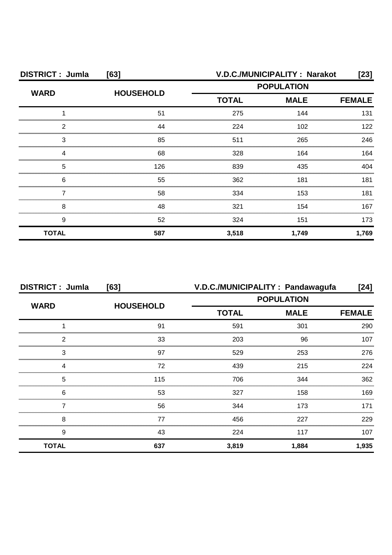| <b>DISTRICT: Jumla</b> | [63]             | V.D.C./MUNICIPALITY: Narakot |               |       |
|------------------------|------------------|------------------------------|---------------|-------|
| <b>WARD</b>            | <b>HOUSEHOLD</b> | <b>POPULATION</b>            |               |       |
|                        |                  | <b>TOTAL</b>                 | <b>FEMALE</b> |       |
|                        | 51               | 275                          | 144           | 131   |
| 2                      | 44               | 224                          | 102           | 122   |
| З                      | 85               | 511                          | 265           | 246   |
|                        | 68               | 328                          | 164           | 164   |
| 5                      | 126              | 839                          | 435           | 404   |
| 6                      | 55               | 362                          | 181           | 181   |
|                        | 58               | 334                          | 153           | 181   |
| 8                      | 48               | 321                          | 154           | 167   |
| 9                      | 52               | 324                          | 151           | 173   |
| <b>TOTAL</b>           | 587              | 3,518                        | 1,749         | 1,769 |

| <b>DISTRICT: Jumla</b> | [63]             |                   | V.D.C./MUNICIPALITY : Pandawagufa | [24]          |
|------------------------|------------------|-------------------|-----------------------------------|---------------|
| <b>WARD</b>            |                  | <b>POPULATION</b> |                                   |               |
|                        | <b>HOUSEHOLD</b> | <b>TOTAL</b>      | <b>MALE</b>                       | <b>FEMALE</b> |
|                        | 91               | 591               | 301                               | 290           |
| 2                      | 33               | 203               | 96                                | 107           |
| 3                      | 97               | 529               | 253                               | 276           |
| Δ                      | 72               | 439               | 215                               | 224           |
| 5                      | 115              | 706               | 344                               | 362           |
| 6                      | 53               | 327               | 158                               | 169           |
|                        | 56               | 344               | 173                               | 171           |
| 8                      | 77               | 456               | 227                               | 229           |
| 9                      | 43               | 224               | 117                               | 107           |
| <b>TOTAL</b>           | 637              | 3,819             | 1,884                             | 1,935         |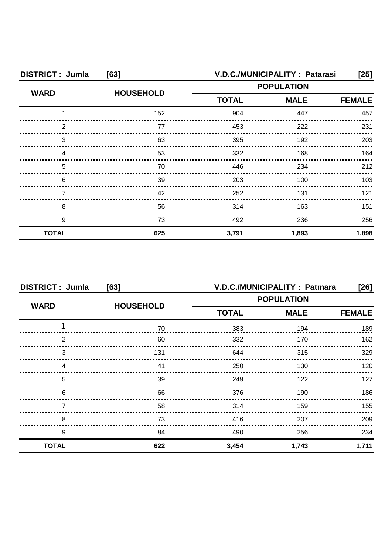| <b>DISTRICT: Jumla</b><br>[63] |                  | V.D.C./MUNICIPALITY: Patarasi<br>[25] |             |               |
|--------------------------------|------------------|---------------------------------------|-------------|---------------|
|                                |                  | <b>POPULATION</b>                     |             |               |
| <b>WARD</b>                    | <b>HOUSEHOLD</b> | <b>TOTAL</b>                          | <b>MALE</b> | <b>FEMALE</b> |
|                                | 152              | 904                                   | 447         | 457           |
| 2                              | 77               | 453                                   | 222         | 231           |
| 3                              | 63               | 395                                   | 192         | 203           |
|                                | 53               | 332                                   | 168         | 164           |
| 5                              | 70               | 446                                   | 234         | 212           |
| 6                              | 39               | 203                                   | 100         | 103           |
|                                | 42               | 252                                   | 131         | 121           |
| 8                              | 56               | 314                                   | 163         | 151           |
| 9                              | 73               | 492                                   | 236         | 256           |
| <b>TOTAL</b>                   | 625              | 3,791                                 | 1,893       | 1,898         |

| <b>DISTRICT: Jumla</b><br>[63] |                  | V.D.C./MUNICIPALITY: Patmara<br>[26] |             |               |
|--------------------------------|------------------|--------------------------------------|-------------|---------------|
|                                |                  | <b>POPULATION</b>                    |             |               |
| <b>WARD</b>                    | <b>HOUSEHOLD</b> | <b>TOTAL</b>                         | <b>MALE</b> | <b>FEMALE</b> |
|                                | 70               | 383                                  | 194         | 189           |
| 2                              | 60               | 332                                  | 170         | 162           |
| 3                              | 131              | 644                                  | 315         | 329           |
| Δ                              | 41               | 250                                  | 130         | 120.          |
| 5                              | 39               | 249                                  | 122         | 127           |
| 6                              | 66               | 376                                  | 190         | 186           |
|                                | 58               | 314                                  | 159         | 155           |
| 8                              | 73               | 416                                  | 207         | 209           |
| 9                              | 84               | 490                                  | 256         | 234           |
| <b>TOTAL</b>                   | 622              | 3,454                                | 1,743       | 1,711         |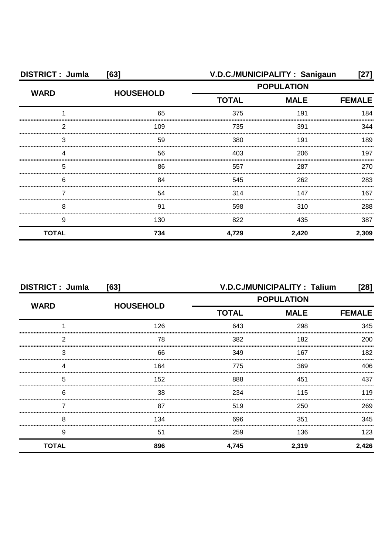| <b>DISTRICT: Jumla</b><br>[63] |                  | V.D.C./MUNICIPALITY: Sanigaun<br>[27] |             |               |
|--------------------------------|------------------|---------------------------------------|-------------|---------------|
| <b>WARD</b>                    |                  | <b>POPULATION</b>                     |             |               |
|                                | <b>HOUSEHOLD</b> | <b>TOTAL</b>                          | <b>MALE</b> | <b>FEMALE</b> |
|                                | 65               | 375                                   | 191         | 184           |
| 2                              | 109              | 735                                   | 391         | 344           |
| З                              | 59               | 380                                   | 191         | 189           |
|                                | 56               | 403                                   | 206         | 197           |
| 5                              | 86               | 557                                   | 287         | 270           |
| 6                              | 84               | 545                                   | 262         | 283           |
|                                | 54               | 314                                   | 147         | 167           |
| 8                              | 91               | 598                                   | 310         | 288           |
| 9                              | 130              | 822                                   | 435         | 387           |
| <b>TOTAL</b>                   | 734              | 4,729                                 | 2,420       | 2,309         |

| <b>DISTRICT: Jumla</b><br>[63] |                  | <b>V.D.C./MUNICIPALITY: Talium</b><br>$[28]$ |               |       |
|--------------------------------|------------------|----------------------------------------------|---------------|-------|
|                                |                  | <b>POPULATION</b>                            |               |       |
| <b>WARD</b>                    | <b>HOUSEHOLD</b> | <b>TOTAL</b><br><b>MALE</b>                  | <b>FEMALE</b> |       |
|                                | 126              | 643                                          | 298           | 345   |
| 2                              | 78               | 382                                          | 182           | 200   |
| 3                              | 66               | 349                                          | 167           | 182   |
| Δ                              | 164              | 775                                          | 369           | 406   |
| 5                              | 152              | 888                                          | 451           | 437   |
| 6                              | 38               | 234                                          | 115           | 119   |
|                                | 87               | 519                                          | 250           | 269   |
| 8                              | 134              | 696                                          | 351           | 345   |
| 9                              | 51               | 259                                          | 136           | 123   |
| <b>TOTAL</b>                   | 896              | 4,745                                        | 2,319         | 2,426 |